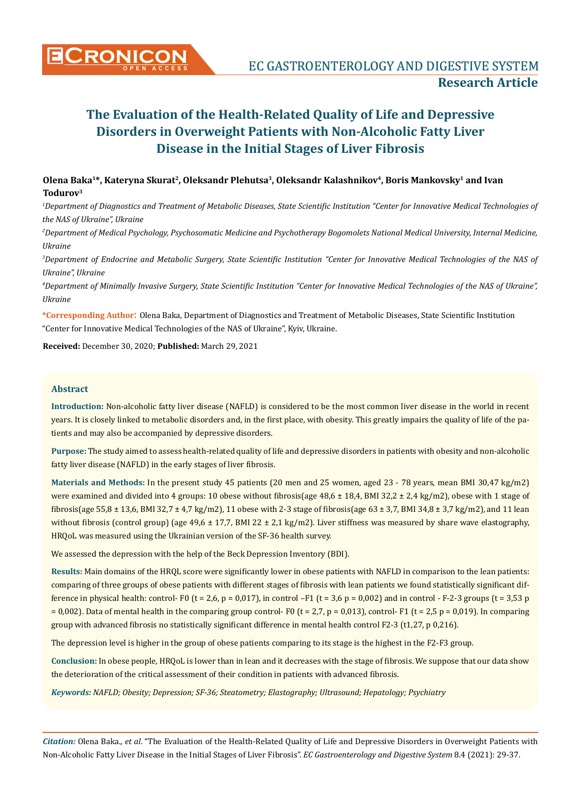## Olena Baka<sup>1\*</sup>, Kateryna Skurat<sup>2</sup>, Oleksandr Plehutsa<sup>3</sup>, Oleksandr Kalashnikov<sup>4</sup>, Boris Mankovsky<sup>1</sup> and Ivan **Todurov3**

*1 Department of Diagnostics and Treatment of Metabolic Diseases, State Scientific Institution "Center for Innovative Medical Technologies of the NAS of Ukraine", Ukraine*

*2 Department of Medical Psychology, Psychosomatic Medicine and Psychotherapy Bogomolets National Medical University, Internal Medicine, Ukraine*

*3 Department of Endocrine and Metabolic Surgery, State Scientific Institution "Center for Innovative Medical Technologies of the NAS of Ukraine", Ukraine*

*4 Department of Minimally Invasive Surgery, State Scientific Institution "Center for Innovative Medical Technologies of the NAS of Ukraine", Ukraine*

**\*Corresponding Author**: Olena Baka, Department of Diagnostics and Treatment of Metabolic Diseases, State Scientific Institution "Center for Innovative Medical Technologies of the NAS of Ukraine", Kyiv, Ukraine.

**Received:** December 30, 2020; **Published:** March 29, 2021

#### **Abstract**

**Introduction:** Non-alcoholic fatty liver disease (NAFLD) is considered to be the most common liver disease in the world in recent years. It is closely linked to metabolic disorders and, in the first place, with obesity. This greatly impairs the quality of life of the patients and may also be accompanied by depressive disorders.

**Purpose:** The study aimed to assess health-related quality of life and depressive disorders in patients with obesity and non-alcoholic fatty liver disease (NAFLD) in the early stages of liver fibrosis.

**Materials and Methods:** In the present study 45 patients (20 men and 25 women, aged 23 - 78 years, mean BMI 30,47 kg/m2) were examined and divided into 4 groups: 10 obese without fibrosis(age 48,6 ± 18,4, BMI 32,2 ± 2,4 kg/m2), obese with 1 stage of fibrosis(age 55,8 ± 13,6, BMI 32,7 ± 4,7 kg/m2), 11 obese with 2-3 stage of fibrosis(age 63 ± 3,7, BMI 34,8 ± 3,7 kg/m2), and 11 lean without fibrosis (control group) (age  $49.6 \pm 17.7$ , BMI 22  $\pm 2.1$  kg/m2). Liver stiffness was measured by share wave elastography, HRQoL was measured using the Ukrainian version of the SF-36 health survey.

We assessed the depression with the help of the Beck Depression Inventory (BDI).

**Results:** Main domains of the HRQL score were significantly lower in obese patients with NAFLD in comparison to the lean patients: comparing of three groups of obese patients with different stages of fibrosis with lean patients we found statistically significant difference in physical health: control- F0 (t = 2,6, p = 0,017), in control -F1 (t = 3,6 p = 0,002) and in control - F-2-3 groups (t = 3,53 p  $= 0.002$ ). Data of mental health in the comparing group control- F0 (t = 2,7, p = 0,013), control- F1 (t = 2,5 p = 0,019). In comparing group with advanced fibrosis no statistically significant difference in mental health control F2-3 (t1,27, p 0,216).

The depression level is higher in the group of obese patients comparing to its stage is the highest in the F2-F3 group.

**Conclusion:** In obese people, HRQoL is lower than in lean and it decreases with the stage of fibrosis. We suppose that our data show the deterioration of the critical assessment of their condition in patients with advanced fibrosis.

*Keywords: NAFLD; Obesity; Depression; SF-36; Steatometry; Elastography; Ultrasound; Hepatology; Psychiatry*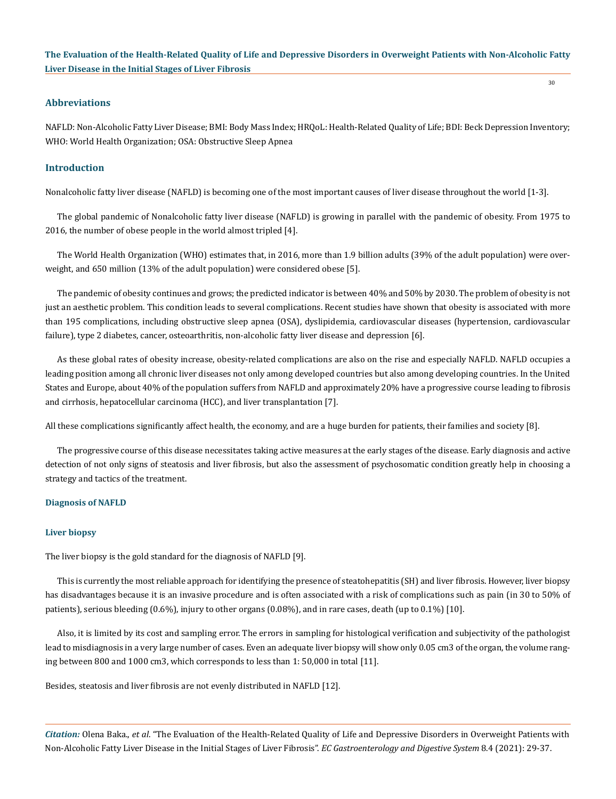30

#### **Abbreviations**

NAFLD: Non-Alcoholic Fatty Liver Disease; BMI: Body Mass Index; HRQoL: Health-Related Quality of Life; BDI: Beck Depression Inventory; WHO: World Health Organization; OSA: Obstructive Sleep Apnea

#### **Introduction**

Nonalcoholic fatty liver disease (NAFLD) is becoming one of the most important causes of liver disease throughout the world [1-3].

The global pandemic of Nonalcoholic fatty liver disease (NAFLD) is growing in parallel with the pandemic of obesity. From 1975 to 2016, the number of obese people in the world almost tripled [4].

The World Health Organization (WHO) estimates that, in 2016, more than 1.9 billion adults (39% of the adult population) were overweight, and 650 million (13% of the adult population) were considered obese [5].

The pandemic of obesity continues and grows; the predicted indicator is between 40% and 50% by 2030. The problem of obesity is not just an aesthetic problem. This condition leads to several complications. Recent studies have shown that obesity is associated with more than 195 complications, including obstructive sleep apnea (OSA), dyslipidemia, cardiovascular diseases (hypertension, cardiovascular failure), type 2 diabetes, cancer, osteoarthritis, non-alcoholic fatty liver disease and depression [6].

As these global rates of obesity increase, obesity-related complications are also on the rise and especially NAFLD. NAFLD occupies a leading position among all chronic liver diseases not only among developed countries but also among developing countries. In the United States and Europe, about 40% of the population suffers from NAFLD and approximately 20% have a progressive course leading to fibrosis and cirrhosis, hepatocellular carcinoma (HCC), and liver transplantation [7].

All these complications significantly affect health, the economy, and are a huge burden for patients, their families and society [8].

The progressive course of this disease necessitates taking active measures at the early stages of the disease. Early diagnosis and active detection of not only signs of steatosis and liver fibrosis, but also the assessment of psychosomatic condition greatly help in choosing a strategy and tactics of the treatment.

#### **Diagnosis of NAFLD**

#### **Liver biopsy**

The liver biopsy is the gold standard for the diagnosis of NAFLD [9].

This is currently the most reliable approach for identifying the presence of steatohepatitis (SH) and liver fibrosis. However, liver biopsy has disadvantages because it is an invasive procedure and is often associated with a risk of complications such as pain (in 30 to 50% of patients), serious bleeding (0.6%), injury to other organs (0.08%), and in rare cases, death (up to 0.1%) [10].

Also, it is limited by its cost and sampling error. The errors in sampling for histological verification and subjectivity of the pathologist lead to misdiagnosis in a very large number of cases. Even an adequate liver biopsy will show only 0.05 cm3 of the organ, the volume ranging between 800 and 1000 cm3, which corresponds to less than 1: 50,000 in total [11].

Besides, steatosis and liver fibrosis are not evenly distributed in NAFLD [12].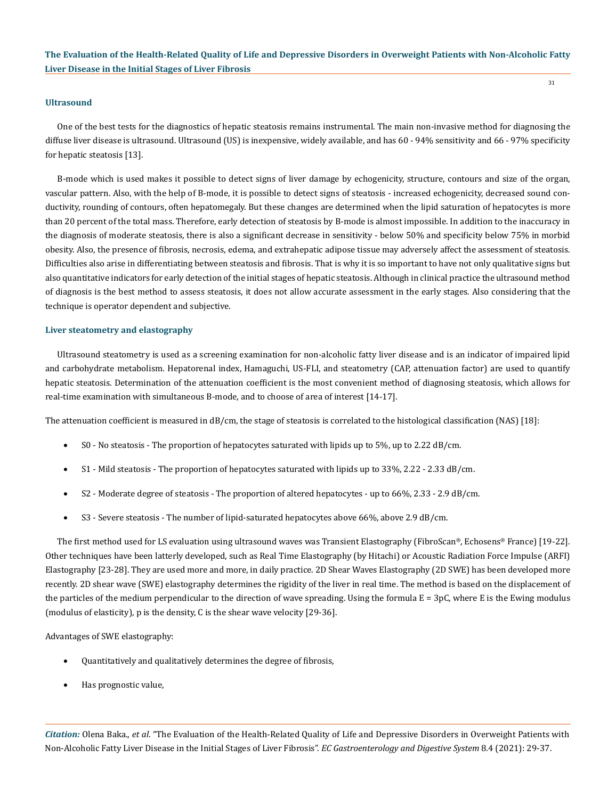#### **Ultrasound**

One of the best tests for the diagnostics of hepatic steatosis remains instrumental. The main non-invasive method for diagnosing the diffuse liver disease is ultrasound. Ultrasound (US) is inexpensive, widely available, and has 60 - 94% sensitivity and 66 - 97% specificity for hepatic steatosis [13].

B-mode which is used makes it possible to detect signs of liver damage by echogenicity, structure, contours and size of the organ, vascular pattern. Also, with the help of B-mode, it is possible to detect signs of steatosis - increased echogenicity, decreased sound conductivity, rounding of contours, often hepatomegaly. But these changes are determined when the lipid saturation of hepatocytes is more than 20 percent of the total mass. Therefore, early detection of steatosis by B-mode is almost impossible. In addition to the inaccuracy in the diagnosis of moderate steatosis, there is also a significant decrease in sensitivity - below 50% and specificity below 75% in morbid obesity. Also, the presence of fibrosis, necrosis, edema, and extrahepatic adipose tissue may adversely affect the assessment of steatosis. Difficulties also arise in differentiating between steatosis and fibrosis. That is why it is so important to have not only qualitative signs but also quantitative indicators for early detection of the initial stages of hepatic steatosis. Although in clinical practice the ultrasound method of diagnosis is the best method to assess steatosis, it does not allow accurate assessment in the early stages. Also considering that the technique is operator dependent and subjective.

#### **Liver steatometry and elastography**

Ultrasound steatometry is used as a screening examination for non-alcoholic fatty liver disease and is an indicator of impaired lipid and carbohydrate metabolism. Hepatorenal index, Hamaguchi, US-FLI, and steatometry (CAP, attenuation factor) are used to quantify hepatic steatosis. Determination of the attenuation coefficient is the most convenient method of diagnosing steatosis, which allows for real-time examination with simultaneous B-mode, and to choose of area of interest [14-17].

The attenuation coefficient is measured in dB/cm, the stage of steatosis is correlated to the histological classification (NAS) [18]:

- • S0 No steatosis The proportion of hepatocytes saturated with lipids up to 5%, up to 2.22 dB/cm.
- S1 Mild steatosis The proportion of hepatocytes saturated with lipids up to 33%, 2.22 2.33 dB/cm.
- S2 Moderate degree of steatosis The proportion of altered hepatocytes up to 66%, 2.33 2.9 dB/cm.
- S3 Severe steatosis The number of lipid-saturated hepatocytes above 66%, above 2.9 dB/cm.

The first method used for LS evaluation using ultrasound waves was Transient Elastography (FibroScan®, Echosens® France) [19-22]. Other techniques have been latterly developed, such as Real Time Elastography (by Hitachi) or Acoustic Radiation Force Impulse (ARFI) Elastography [23-28]. They are used more and more, in daily practice. 2D Shear Waves Elastography (2D SWE) has been developed more recently. 2D shear wave (SWE) elastography determines the rigidity of the liver in real time. The method is based on the displacement of the particles of the medium perpendicular to the direction of wave spreading. Using the formula  $E = 3pC$ , where E is the Ewing modulus (modulus of elasticity), p is the density, C is the shear wave velocity [29-36].

Advantages of SWE elastography:

- Quantitatively and qualitatively determines the degree of fibrosis,
- Has prognostic value,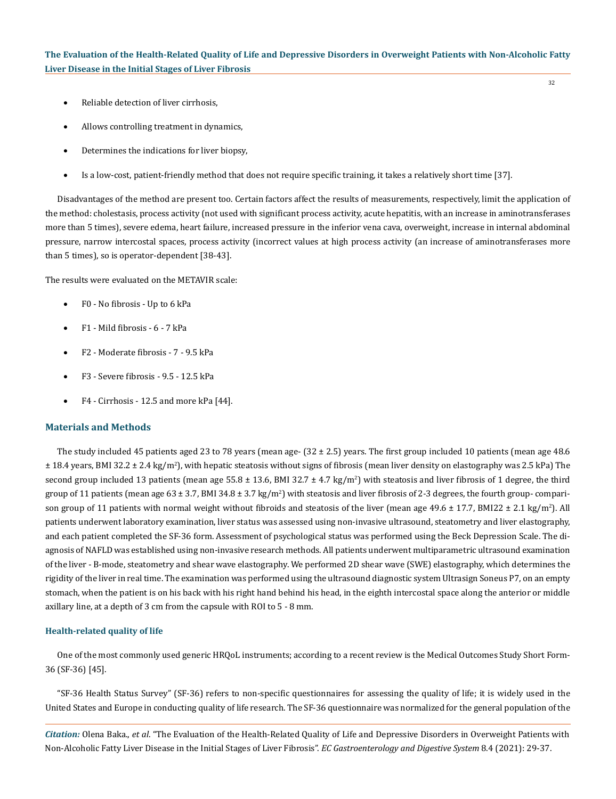- Reliable detection of liver cirrhosis,
- Allows controlling treatment in dynamics,
- Determines the indications for liver biopsy,
- Is a low-cost, patient-friendly method that does not require specific training, it takes a relatively short time [37].

Disadvantages of the method are present too. Certain factors affect the results of measurements, respectively, limit the application of the method: cholestasis, process activity (not used with significant process activity, acute hepatitis, with an increase in aminotransferases more than 5 times), severe edema, heart failure, increased pressure in the inferior vena cava, overweight, increase in internal abdominal pressure, narrow intercostal spaces, process activity (incorrect values at high process activity (an increase of aminotransferases more than 5 times), so is operator-dependent [38-43].

The results were evaluated on the METAVIR scale:

- F0 No fibrosis Up to 6 kPa
- • F1 Mild fibrosis 6 7 kPa
- • F2 Moderate fibrosis 7 9.5 kPa
- F3 Severe fibrosis 9.5 12.5 kPa
- $F4$  Cirrhosis 12.5 and more kPa [44].

## **Materials and Methods**

The study included 45 patients aged 23 to 78 years (mean age-  $(32 \pm 2.5)$  years. The first group included 10 patients (mean age 48.6) ± 18.4 years, BMI 32.2 ± 2.4 kg/m<sup>2</sup> ), with hepatic steatosis without signs of fibrosis (mean liver density on elastography was 2.5 kPa) The second group included 13 patients (mean age 55.8  $\pm$  13.6, BMI 32.7  $\pm$  4.7 kg/m<sup>2</sup>) with steatosis and liver fibrosis of 1 degree, the third group of 11 patients (mean age  $63 \pm 3.7$ , BMI  $34.8 \pm 3.7$  kg/m<sup>2</sup>) with steatosis and liver fibrosis of 2-3 degrees, the fourth group- comparison group of 11 patients with normal weight without fibroids and steatosis of the liver (mean age  $49.6 \pm 17.7$ , BMI22  $\pm$  2.1 kg/m<sup>2</sup>). All patients underwent laboratory examination, liver status was assessed using non-invasive ultrasound, steatometry and liver elastography, and each patient completed the SF-36 form. Assessment of psychological status was performed using the Beck Depression Scale. The diagnosis of NAFLD was established using non-invasive research methods. All patients underwent multiparametric ultrasound examination of the liver - B-mode, steatometry and shear wave elastography. We performed 2D shear wave (SWE) elastography, which determines the rigidity of the liver in real time. The examination was performed using the ultrasound diagnostic system Ultrasign Soneus P7, on an empty stomach, when the patient is on his back with his right hand behind his head, in the eighth intercostal space along the anterior or middle axillary line, at a depth of 3 cm from the capsule with ROI to 5 - 8 mm.

### **Health-related quality of life**

One of the most commonly used generic HRQoL instruments; according to a recent review is the Medical Outcomes Study Short Form-36 (SF-36) [45].

"SF-36 Health Status Survey" (SF-36) refers to non-specific questionnaires for assessing the quality of life; it is widely used in the United States and Europe in conducting quality of life research. The SF-36 questionnaire was normalized for the general population of the

*Citation:* Olena Baka., *et al*. "The Evaluation of the Health-Related Quality of Life and Depressive Disorders in Overweight Patients with Non-Alcoholic Fatty Liver Disease in the Initial Stages of Liver Fibrosis". *EC Gastroenterology and Digestive System* 8.4 (2021): 29-37.

32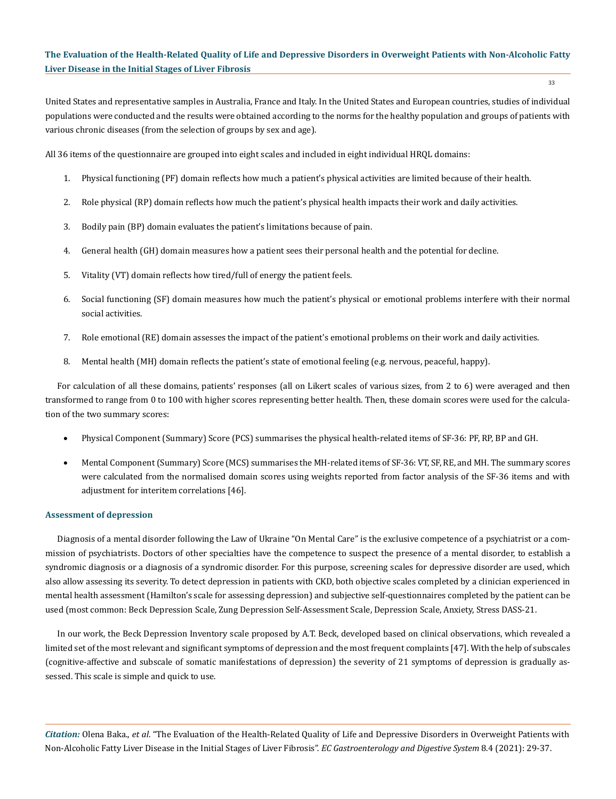33

United States and representative samples in Australia, France and Italy. In the United States and European countries, studies of individual populations were conducted and the results were obtained according to the norms for the healthy population and groups of patients with various chronic diseases (from the selection of groups by sex and age).

All 36 items of the questionnaire are grouped into eight scales and included in eight individual HRQL domains:

- 1. Physical functioning (PF) domain reflects how much a patient's physical activities are limited because of their health.
- 2. Role physical (RP) domain reflects how much the patient's physical health impacts their work and daily activities.
- 3. Bodily pain (BP) domain evaluates the patient's limitations because of pain.
- 4. General health (GH) domain measures how a patient sees their personal health and the potential for decline.
- 5. Vitality (VT) domain reflects how tired/full of energy the patient feels.
- 6. Social functioning (SF) domain measures how much the patient's physical or emotional problems interfere with their normal social activities.
- 7. Role emotional (RE) domain assesses the impact of the patient's emotional problems on their work and daily activities.
- 8. Mental health (MH) domain reflects the patient's state of emotional feeling (e.g. nervous, peaceful, happy).

For calculation of all these domains, patients' responses (all on Likert scales of various sizes, from 2 to 6) were averaged and then transformed to range from 0 to 100 with higher scores representing better health. Then, these domain scores were used for the calculation of the two summary scores:

- Physical Component (Summary) Score (PCS) summarises the physical health-related items of SF-36: PF, RP, BP and GH.
- Mental Component (Summary) Score (MCS) summarises the MH-related items of SF-36: VT, SF, RE, and MH. The summary scores were calculated from the normalised domain scores using weights reported from factor analysis of the SF-36 items and with adjustment for interitem correlations [46].

#### **Assessment of depression**

Diagnosis of a mental disorder following the Law of Ukraine "On Mental Care" is the exclusive competence of a psychiatrist or a commission of psychiatrists. Doctors of other specialties have the competence to suspect the presence of a mental disorder, to establish a syndromic diagnosis or a diagnosis of a syndromic disorder. For this purpose, screening scales for depressive disorder are used, which also allow assessing its severity. To detect depression in patients with CKD, both objective scales completed by a clinician experienced in mental health assessment (Hamilton's scale for assessing depression) and subjective self-questionnaires completed by the patient can be used (most common: Beck Depression Scale, Zung Depression Self-Assessment Scale, Depression Scale, Anxiety, Stress DASS-21.

In our work, the Beck Depression Inventory scale proposed by A.T. Beck, developed based on clinical observations, which revealed a limited set of the most relevant and significant symptoms of depression and the most frequent complaints [47]. With the help of subscales (cognitive-affective and subscale of somatic manifestations of depression) the severity of 21 symptoms of depression is gradually assessed. This scale is simple and quick to use.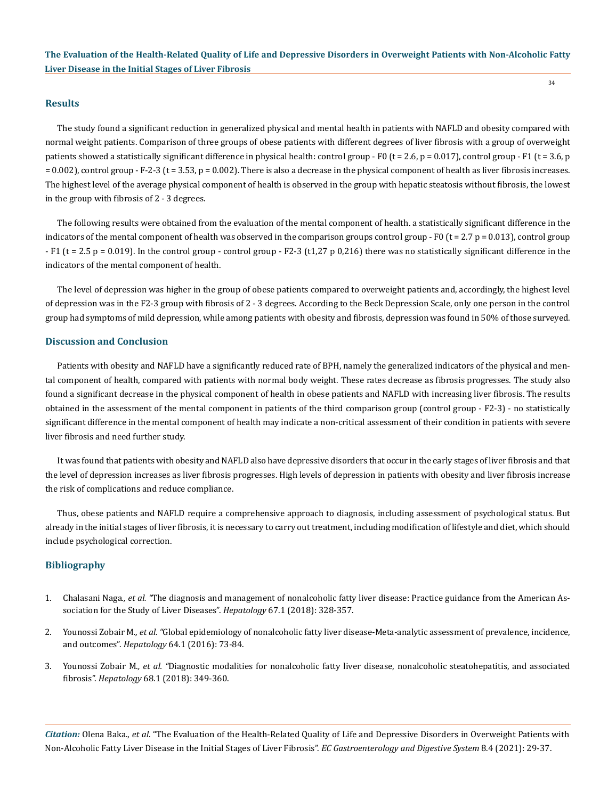#### **Results**

The study found a significant reduction in generalized physical and mental health in patients with NAFLD and obesity compared with normal weight patients. Comparison of three groups of obese patients with different degrees of liver fibrosis with a group of overweight patients showed a statistically significant difference in physical health: control group - F0 ( $t = 2.6$ ,  $p = 0.017$ ), control group - F1 ( $t = 3.6$ , p  $= 0.002$ ), control group - F-2-3 (t = 3.53, p = 0.002). There is also a decrease in the physical component of health as liver fibrosis increases. The highest level of the average physical component of health is observed in the group with hepatic steatosis without fibrosis, the lowest in the group with fibrosis of 2 - 3 degrees.

The following results were obtained from the evaluation of the mental component of health. a statistically significant difference in the indicators of the mental component of health was observed in the comparison groups control group - F0 ( $t = 2.7 p = 0.013$ ), control group - F1 ( $t = 2.5$  p = 0.019). In the control group - control group - F2-3 (t1,27 p 0,216) there was no statistically significant difference in the indicators of the mental component of health.

The level of depression was higher in the group of obese patients compared to overweight patients and, accordingly, the highest level of depression was in the F2-3 group with fibrosis of 2 - 3 degrees. According to the Beck Depression Scale, only one person in the control group had symptoms of mild depression, while among patients with obesity and fibrosis, depression was found in 50% of those surveyed.

#### **Discussion and Conclusion**

Patients with obesity and NAFLD have a significantly reduced rate of BPH, namely the generalized indicators of the physical and mental component of health, compared with patients with normal body weight. These rates decrease as fibrosis progresses. The study also found a significant decrease in the physical component of health in obese patients and NAFLD with increasing liver fibrosis. The results obtained in the assessment of the mental component in patients of the third comparison group (control group - F2-3) - no statistically significant difference in the mental component of health may indicate a non-critical assessment of their condition in patients with severe liver fibrosis and need further study.

It was found that patients with obesity and NAFLD also have depressive disorders that occur in the early stages of liver fibrosis and that the level of depression increases as liver fibrosis progresses. High levels of depression in patients with obesity and liver fibrosis increase the risk of complications and reduce compliance.

Thus, obese patients and NAFLD require a comprehensive approach to diagnosis, including assessment of psychological status. But already in the initial stages of liver fibrosis, it is necessary to carry out treatment, including modification of lifestyle and diet, which should include psychological correction.

#### **Bibliography**

- 1. Chalasani Naga*., et al. "*[The diagnosis and management of nonalcoholic fatty liver disease: Practice guidance from the American As](https://pubmed.ncbi.nlm.nih.gov/28714183/)[sociation for the Study of Liver Diseases".](https://pubmed.ncbi.nlm.nih.gov/28714183/) *Hepatology* 67.1 (2018): 328-357.
- 2. Younossi Zobair M*., et al. "*[Global epidemiology of nonalcoholic fatty liver disease-Meta-analytic assessment of prevalence, incidence,](https://pubmed.ncbi.nlm.nih.gov/26707365/)  and outcomes". *Hepatology* [64.1 \(2016\): 73-84.](https://pubmed.ncbi.nlm.nih.gov/26707365/)
- 3. Younossi Zobair M*., et al. "*[Diagnostic modalities for nonalcoholic fatty liver disease, nonalcoholic steatohepatitis, and associated](https://www.ncbi.nlm.nih.gov/pmc/articles/PMC6511364/)  fibrosis". *Hepatology* [68.1 \(2018\): 349-360.](https://www.ncbi.nlm.nih.gov/pmc/articles/PMC6511364/)

*Citation:* Olena Baka., *et al*. "The Evaluation of the Health-Related Quality of Life and Depressive Disorders in Overweight Patients with Non-Alcoholic Fatty Liver Disease in the Initial Stages of Liver Fibrosis". *EC Gastroenterology and Digestive System* 8.4 (2021): 29-37.

34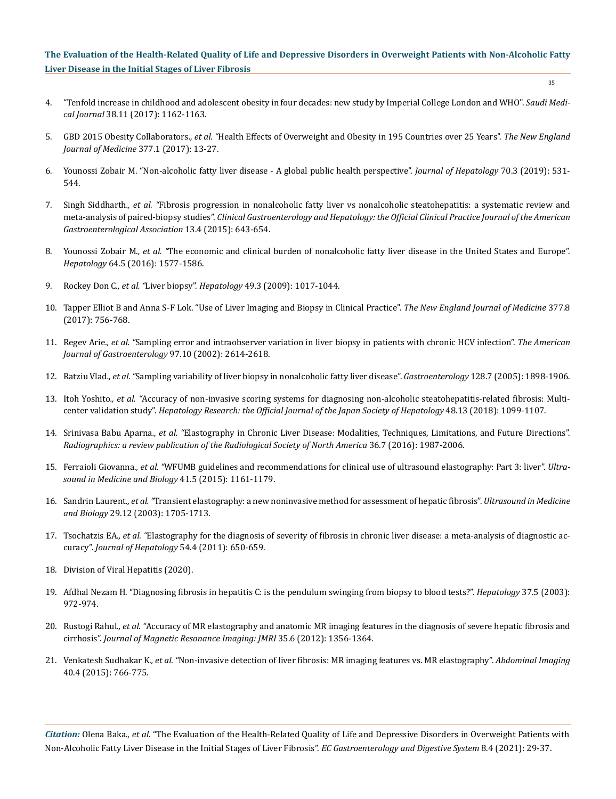- 35
- 4. ["Tenfold increase in childhood and adolescent obesity in four decades: new study by Imperial College London and WHO".](https://www.ncbi.nlm.nih.gov/pmc/articles/PMC5767627/) *Saudi Medical Journal* [38.11 \(2017\): 1162-1163.](https://www.ncbi.nlm.nih.gov/pmc/articles/PMC5767627/)
- 5. GBD 2015 Obesity Collaborators*., et al. "*[Health Effects of Overweight and Obesity in 195 Countries over 25 Years".](https://pubmed.ncbi.nlm.nih.gov/28604169/) *The New England [Journal of Medicine](https://pubmed.ncbi.nlm.nih.gov/28604169/)* 377.1 (2017): 13-27.
- 6. [Younossi Zobair M. "Non-alcoholic fatty liver disease A global public health perspective".](https://pubmed.ncbi.nlm.nih.gov/30414863/) *Journal of Hepatology* 70.3 (2019): 531- [544.](https://pubmed.ncbi.nlm.nih.gov/30414863/)
- 7. Singh Siddharth*., et al. "*[Fibrosis progression in nonalcoholic fatty liver vs nonalcoholic steatohepatitis: a systematic review and](https://pubmed.ncbi.nlm.nih.gov/24768810/)  meta-analysis of paired-biopsy studies". *[Clinical Gastroenterology and Hepatology: the Official Clinical Practice Journal of the American](https://pubmed.ncbi.nlm.nih.gov/24768810/)  [Gastroenterological Association](https://pubmed.ncbi.nlm.nih.gov/24768810/)* 13.4 (2015): 643-654.
- 8. Younossi Zobair M*., et al. "*[The economic and clinical burden of nonalcoholic fatty liver disease in the United States and Europe".](https://pubmed.ncbi.nlm.nih.gov/27543837/)  *Hepatology* [64.5 \(2016\): 1577-1586.](https://pubmed.ncbi.nlm.nih.gov/27543837/)
- 9. Rockey Don C*., et al. "*Liver biopsy". *Hepatology* 49.3 (2009): 1017-1044.
- 10. [Tapper Elliot B and Anna S-F Lok. "Use of Liver Imaging and Biopsy in Clinical Practice".](https://pubmed.ncbi.nlm.nih.gov/28834467/) *The New England Journal of Medicine* 377.8 [\(2017\): 756-768.](https://pubmed.ncbi.nlm.nih.gov/28834467/)
- 11. Regev Arie*., et al. "*[Sampling error and intraobserver variation in liver biopsy in patients with chronic HCV infection".](https://www.researchgate.net/publication/271604731_Sampling_error_and_intraobserver_variation_in_liver_biopsy_in_patients_with_chronic_HCV_infection) *The American [Journal of Gastroenterology](https://www.researchgate.net/publication/271604731_Sampling_error_and_intraobserver_variation_in_liver_biopsy_in_patients_with_chronic_HCV_infection)* 97.10 (2002): 2614-2618.
- 12. Ratziu Vlad*., et al. "*[Sampling variability of liver biopsy in nonalcoholic fatty liver disease".](https://pubmed.ncbi.nlm.nih.gov/15940625/) *Gastroenterology* 128.7 (2005): 1898-1906.
- 13. Itoh Yoshito*., et al. "*[Accuracy of non-invasive scoring systems for diagnosing non-alcoholic steatohepatitis-related fibrosis: Multi](https://pubmed.ncbi.nlm.nih.gov/29974624/)center validation study". *Hepatology Research: the Official [Journal of the Japan Society of Hepatology](https://pubmed.ncbi.nlm.nih.gov/29974624/)* 48.13 (2018): 1099-1107.
- 14. Srinivasa Babu Aparna*., et al. "*[Elastography in Chronic Liver Disease: Modalities, Techniques, Limitations, and Future Directions".](https://pubs.rsna.org/doi/full/10.1148/rg.2016160042)  *[Radiographics: a review publication of the Radiological Society of North America](https://pubs.rsna.org/doi/full/10.1148/rg.2016160042)* 36.7 (2016): 1987-2006.
- 15. Ferraioli Giovanna*., et al. "*[WFUMB guidelines and recommendations for clinical use of ultrasound elastography: Part 3: liver".](https://pubmed.ncbi.nlm.nih.gov/25800942/) *Ultra[sound in Medicine and Biology](https://pubmed.ncbi.nlm.nih.gov/25800942/)* 41.5 (2015): 1161-1179.
- 16. Sandrin Laurent*., et al. "*[Transient elastography: a new noninvasive method for assessment of hepatic fibrosis".](https://pubmed.ncbi.nlm.nih.gov/14698338/) *Ultrasound in Medicine and Biology* [29.12 \(2003\): 1705-1713.](https://pubmed.ncbi.nlm.nih.gov/14698338/)
- 17. Tsochatzis EA*., et al. "*[Elastography for the diagnosis of severity of fibrosis in chronic liver disease: a meta-analysis of diagnostic ac](https://www.ncbi.nlm.nih.gov/books/NBK81923/)curacy". *[Journal of Hepatology](https://www.ncbi.nlm.nih.gov/books/NBK81923/)* 54.4 (2011): 650-659.
- 18. Division of Viral Hepatitis (2020).
- 19. [Afdhal Nezam H. "Diagnosing fibrosis in hepatitis C: is the pendulum swinging from biopsy to blood tests?".](https://pubmed.ncbi.nlm.nih.gov/12717376/) *Hepatology* 37.5 (2003): [972-974.](https://pubmed.ncbi.nlm.nih.gov/12717376/)
- 20. Rustogi Rahul*., et al. "*[Accuracy of MR elastography and anatomic MR imaging features in the diagnosis of severe hepatic fibrosis and](https://pubmed.ncbi.nlm.nih.gov/22246952/)  cirrhosis". *[Journal of Magnetic Resonance Imaging: JMRI](https://pubmed.ncbi.nlm.nih.gov/22246952/)* 35.6 (2012): 1356-1364.
- 21. Venkatesh Sudhakar K*., et al. "*[Non-invasive detection of liver fibrosis: MR imaging features vs. MR elastography".](https://www.researchgate.net/publication/274089300_Non-invasive_detection_of_liver_fibrosis_MR_imaging_features_vs_MR_elastography) *Abdominal Imaging* [40.4 \(2015\): 766-775.](https://www.researchgate.net/publication/274089300_Non-invasive_detection_of_liver_fibrosis_MR_imaging_features_vs_MR_elastography)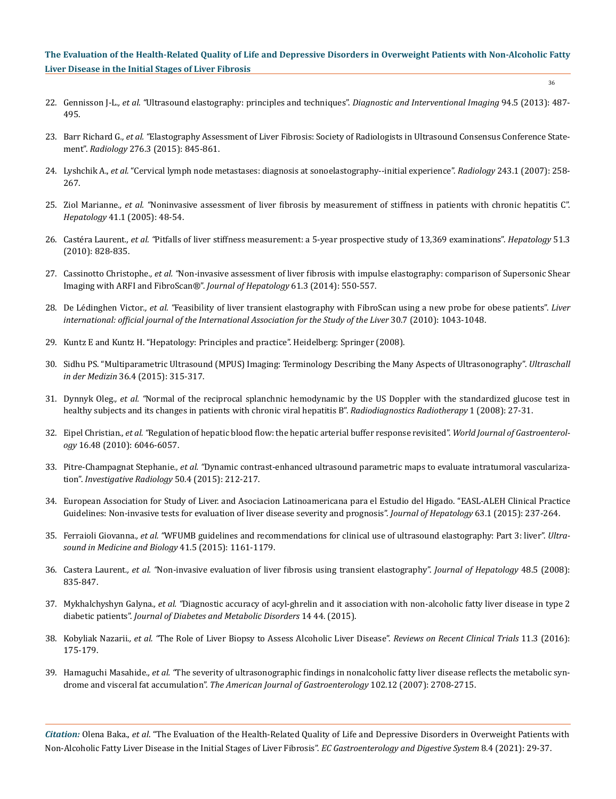- 36
- 22. Gennisson J-L*., et al. "*[Ultrasound elastography: principles and techniques".](https://pubmed.ncbi.nlm.nih.gov/23619292/) *Diagnostic and Interventional Imaging* 94.5 (2013): 487- [495.](https://pubmed.ncbi.nlm.nih.gov/23619292/)
- 23. Barr Richard G*., et al. "*[Elastography Assessment of Liver Fibrosis: Society of Radiologists in Ultrasound Consensus Conference State](https://pubmed.ncbi.nlm.nih.gov/26079489/)ment". *Radiology* [276.3 \(2015\): 845-861.](https://pubmed.ncbi.nlm.nih.gov/26079489/)
- 24. Lyshchik A., *et al.* ["Cervical lymph node metastases: diagnosis at sonoelastography--initial experience".](https://pubmed.ncbi.nlm.nih.gov/17293571/) *Radiology* 243.1 (2007): 258- [267.](https://pubmed.ncbi.nlm.nih.gov/17293571/)
- 25. Ziol Marianne*., et al. "*[Noninvasive assessment of liver fibrosis by measurement of stiffness in patients with chronic hepatitis C".](https://pubmed.ncbi.nlm.nih.gov/15690481/)  *Hepatology* [41.1 \(2005\): 48-54.](https://pubmed.ncbi.nlm.nih.gov/15690481/)
- 26. Castéra Laurent*., et al. "*[Pitfalls of liver stiffness measurement: a 5-year prospective study of 13,369 examinations".](https://pubmed.ncbi.nlm.nih.gov/20063276/) *Hepatology* 51.3 [\(2010\): 828-835.](https://pubmed.ncbi.nlm.nih.gov/20063276/)
- 27. Cassinotto Christophe*., et al. "*[Non-invasive assessment of liver fibrosis with impulse elastography: comparison of Supersonic Shear](https://pubmed.ncbi.nlm.nih.gov/24815876/)  [Imaging with ARFI and FibroScan®".](https://pubmed.ncbi.nlm.nih.gov/24815876/) *Journal of Hepatology* 61.3 (2014): 550-557.
- 28. De Lédinghen Victor*., et al. "*[Feasibility of liver transient elastography with FibroScan using a new probe for obese patients".](https://pubmed.ncbi.nlm.nih.gov/20492500/) *Liver [international: official journal of the International Association for the Study of the Liver](https://pubmed.ncbi.nlm.nih.gov/20492500/)* 30.7 (2010): 1043-1048.
- 29. [Kuntz E and Kuntz H. "Hepatology: Principles and practice". Heidelberg: Springer \(2008\).](https://www.springer.com/gp/book/9783540289777)
- 30. [Sidhu PS. "Multiparametric Ultrasound \(MPUS\) Imaging: Terminology Describing the Many Aspects of Ultrasonography".](https://pubmed.ncbi.nlm.nih.gov/26241118/) *Ultraschall in der Medizin* [36.4 \(2015\): 315-317.](https://pubmed.ncbi.nlm.nih.gov/26241118/)
- 31. Dynnyk Oleg*., et al. "*Normal of the reciprocal splanchnic hemodynamic by the US Doppler with the standardized glucose test in healthy subjects and its changes in patients with chronic viral hepatitis B". *Radiodiagnostics Radiotherapy* 1 (2008): 27-31.
- 32. Eipel Christian*., et al. "*[Regulation of hepatic blood flow: the hepatic arterial buffer response revisited".](https://pubmed.ncbi.nlm.nih.gov/21182219/) *World Journal of Gastroenterology* [16.48 \(2010\): 6046-6057.](https://pubmed.ncbi.nlm.nih.gov/21182219/)
- 33. Pitre-Champagnat Stephanie*., et al. "*[Dynamic contrast-enhanced ultrasound parametric maps to evaluate intratumoral vasculariza](https://pubmed.ncbi.nlm.nih.gov/25275834/)tion". *[Investigative Radiology](https://pubmed.ncbi.nlm.nih.gov/25275834/)* 50.4 (2015): 212-217.
- 34. [European Association for Study of Liver. and Asociacion Latinoamericana para el Estudio del Higado. "EASL-ALEH Clinical Practice](https://pubmed.ncbi.nlm.nih.gov/25911335/)  [Guidelines: Non-invasive tests for evaluation of liver disease severity and prognosis".](https://pubmed.ncbi.nlm.nih.gov/25911335/) *Journal of Hepatology* 63.1 (2015): 237-264.
- 35. Ferraioli Giovanna*., et al. "*[WFUMB guidelines and recommendations for clinical use of ultrasound elastography: Part 3: liver".](https://pubmed.ncbi.nlm.nih.gov/25800942/) *Ultra[sound in Medicine and Biology](https://pubmed.ncbi.nlm.nih.gov/25800942/)* 41.5 (2015): 1161-1179.
- 36. Castera Laurent*., et al. "*[Non-invasive evaluation of liver fibrosis using transient elastography".](https://pubmed.ncbi.nlm.nih.gov/18334275/) *Journal of Hepatology* 48.5 (2008): [835-847.](https://pubmed.ncbi.nlm.nih.gov/18334275/)
- 37. Mykhalchyshyn Galyna*., et al. "*[Diagnostic accuracy of acyl-ghrelin and it association with non-alcoholic fatty liver disease in type 2](https://pubmed.ncbi.nlm.nih.gov/25995986/)  diabetic patients". *[Journal of Diabetes and Metabolic Disorders](https://pubmed.ncbi.nlm.nih.gov/25995986/)* 14 44. (2015).
- 38. Kobyliak Nazarii*., et al. "*[The Role of Liver Biopsy to Assess Alcoholic Liver Disease".](https://pubmed.ncbi.nlm.nih.gov/27457346/) *Reviews on Recent Clinical Trials* 11.3 (2016): [175-179.](https://pubmed.ncbi.nlm.nih.gov/27457346/)
- 39. Hamaguchi Masahide*., et al. "*[The severity of ultrasonographic findings in nonalcoholic fatty liver disease reflects the metabolic syn](https://pubmed.ncbi.nlm.nih.gov/17894848/)drome and visceral fat accumulation". *[The American Journal of Gastroenterology](https://pubmed.ncbi.nlm.nih.gov/17894848/)* 102.12 (2007): 2708-2715.